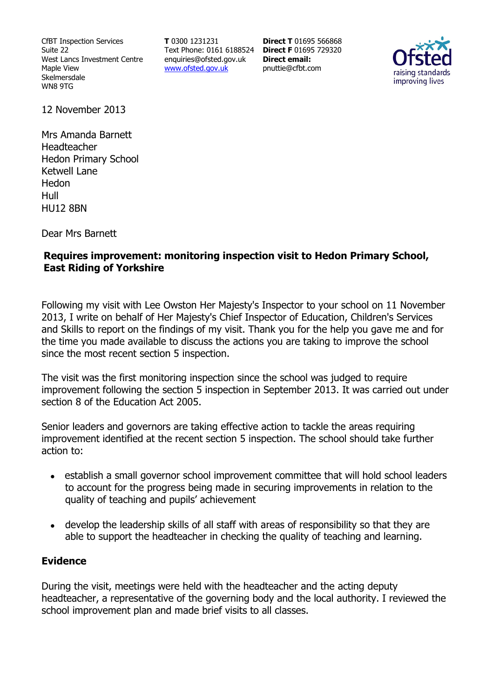CfBT Inspection Services Suite 22 West Lancs Investment Centre Maple View Skelmersdale WN8 9TG

**T** 0300 1231231 Text Phone: 0161 6188524 **Direct F** 01695 729320 enquiries@ofsted.gov.uk www.ofsted.gov.uk

**Direct T** 01695 566868 **Direct email:**  pnuttie@cfbt.com



12 November 2013

Mrs Amanda Barnett Headteacher Hedon Primary School Ketwell Lane Hedon Hull HU12 8BN

Dear Mrs Barnett

### **Requires improvement: monitoring inspection visit to Hedon Primary School, East Riding of Yorkshire**

Following my visit with Lee Owston Her Majesty's Inspector to your school on 11 November 2013, I write on behalf of Her Majesty's Chief Inspector of Education, Children's Services and Skills to report on the findings of my visit. Thank you for the help you gave me and for the time you made available to discuss the actions you are taking to improve the school since the most recent section 5 inspection.

The visit was the first monitoring inspection since the school was judged to require improvement following the section 5 inspection in September 2013. It was carried out under section 8 of the Education Act 2005.

Senior leaders and governors are taking effective action to tackle the areas requiring improvement identified at the recent section 5 inspection. The school should take further action to:

- establish a small governor school improvement committee that will hold school leaders to account for the progress being made in securing improvements in relation to the quality of teaching and pupils' achievement
- develop the leadership skills of all staff with areas of responsibility so that they are able to support the headteacher in checking the quality of teaching and learning.

#### **Evidence**

During the visit, meetings were held with the headteacher and the acting deputy headteacher, a representative of the governing body and the local authority. I reviewed the school improvement plan and made brief visits to all classes.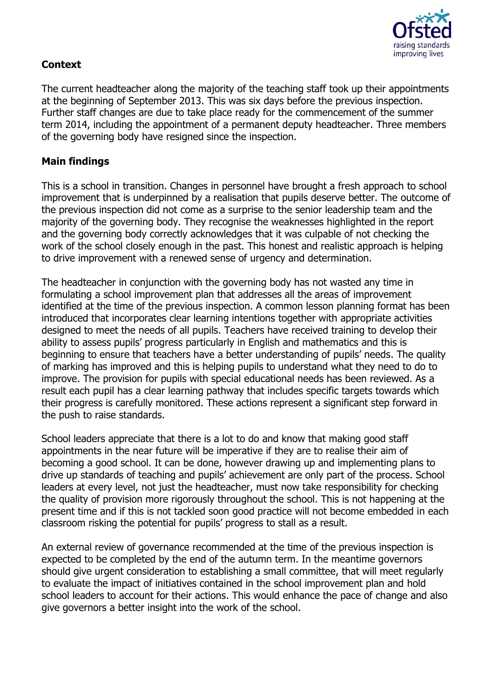

# **Context**

The current headteacher along the majority of the teaching staff took up their appointments at the beginning of September 2013. This was six days before the previous inspection. Further staff changes are due to take place ready for the commencement of the summer term 2014, including the appointment of a permanent deputy headteacher. Three members of the governing body have resigned since the inspection.

## **Main findings**

This is a school in transition. Changes in personnel have brought a fresh approach to school improvement that is underpinned by a realisation that pupils deserve better. The outcome of the previous inspection did not come as a surprise to the senior leadership team and the majority of the governing body. They recognise the weaknesses highlighted in the report and the governing body correctly acknowledges that it was culpable of not checking the work of the school closely enough in the past. This honest and realistic approach is helping to drive improvement with a renewed sense of urgency and determination.

The headteacher in conjunction with the governing body has not wasted any time in formulating a school improvement plan that addresses all the areas of improvement identified at the time of the previous inspection. A common lesson planning format has been introduced that incorporates clear learning intentions together with appropriate activities designed to meet the needs of all pupils. Teachers have received training to develop their ability to assess pupils' progress particularly in English and mathematics and this is beginning to ensure that teachers have a better understanding of pupils' needs. The quality of marking has improved and this is helping pupils to understand what they need to do to improve. The provision for pupils with special educational needs has been reviewed. As a result each pupil has a clear learning pathway that includes specific targets towards which their progress is carefully monitored. These actions represent a significant step forward in the push to raise standards.

School leaders appreciate that there is a lot to do and know that making good staff appointments in the near future will be imperative if they are to realise their aim of becoming a good school. It can be done, however drawing up and implementing plans to drive up standards of teaching and pupils' achievement are only part of the process. School leaders at every level, not just the headteacher, must now take responsibility for checking the quality of provision more rigorously throughout the school. This is not happening at the present time and if this is not tackled soon good practice will not become embedded in each classroom risking the potential for pupils' progress to stall as a result.

An external review of governance recommended at the time of the previous inspection is expected to be completed by the end of the autumn term. In the meantime governors should give urgent consideration to establishing a small committee, that will meet regularly to evaluate the impact of initiatives contained in the school improvement plan and hold school leaders to account for their actions. This would enhance the pace of change and also give governors a better insight into the work of the school.